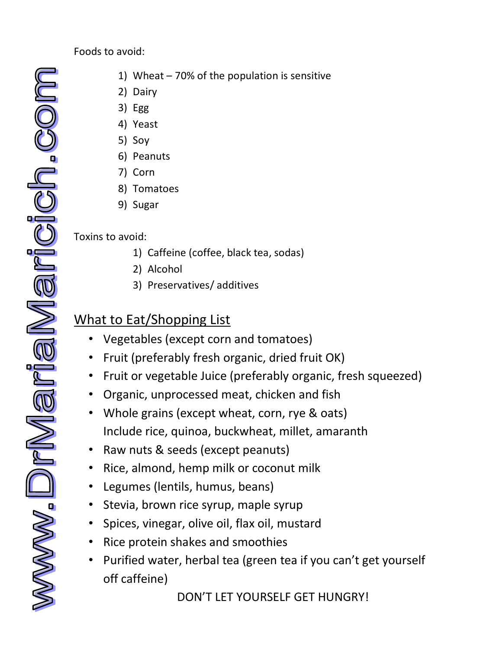Foods to avoid:

- www.DrMariaMari
- 1) Wheat 70% of the population is sensitive
- 2) Dairy
- 3) Egg
- 4) Yeast
- 5) Soy
- 6) Peanuts
- 7) Corn
- 8) Tomatoes
- 9) Sugar

## Toxins to avoid:

- 1) Caffeine (coffee, black tea, sodas)
- 2) Alcohol
- 3) Preservatives/ additives

## What to Eat/Shopping List

- Vegetables (except corn and tomatoes)
- Fruit (preferably fresh organic, dried fruit OK)
- Fruit or vegetable Juice (preferably organic, fresh squeezed)
- Organic, unprocessed meat, chicken and fish
- Whole grains (except wheat, corn, rye & oats) Include rice, quinoa, buckwheat, millet, amaranth
- Raw nuts & seeds (except peanuts)
- Rice, almond, hemp milk or coconut milk
- Legumes (lentils, humus, beans)
- Stevia, brown rice syrup, maple syrup
- Spices, vinegar, olive oil, flax oil, mustard
- Rice protein shakes and smoothies
- Purified water, herbal tea (green tea if you can't get yourself off caffeine)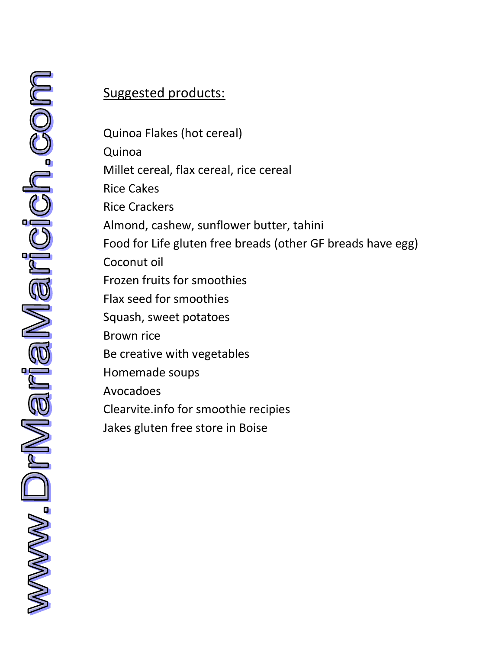## Suggested products:

Quinoa Flakes (hot cereal) Quinoa Millet cereal, flax cereal, rice cereal Rice Cakes Rice Crackers Almond, cashew, sunflower butter, tahini Food for Life gluten free breads (other GF breads have egg) Coconut oil Frozen fruits for smoothies Flax seed for smoothies Squash, sweet potatoes Brown rice Be creative with vegetables Homemade soups Avocadoes Clearvite.info for smoothie recipies Jakes gluten free store in Boise